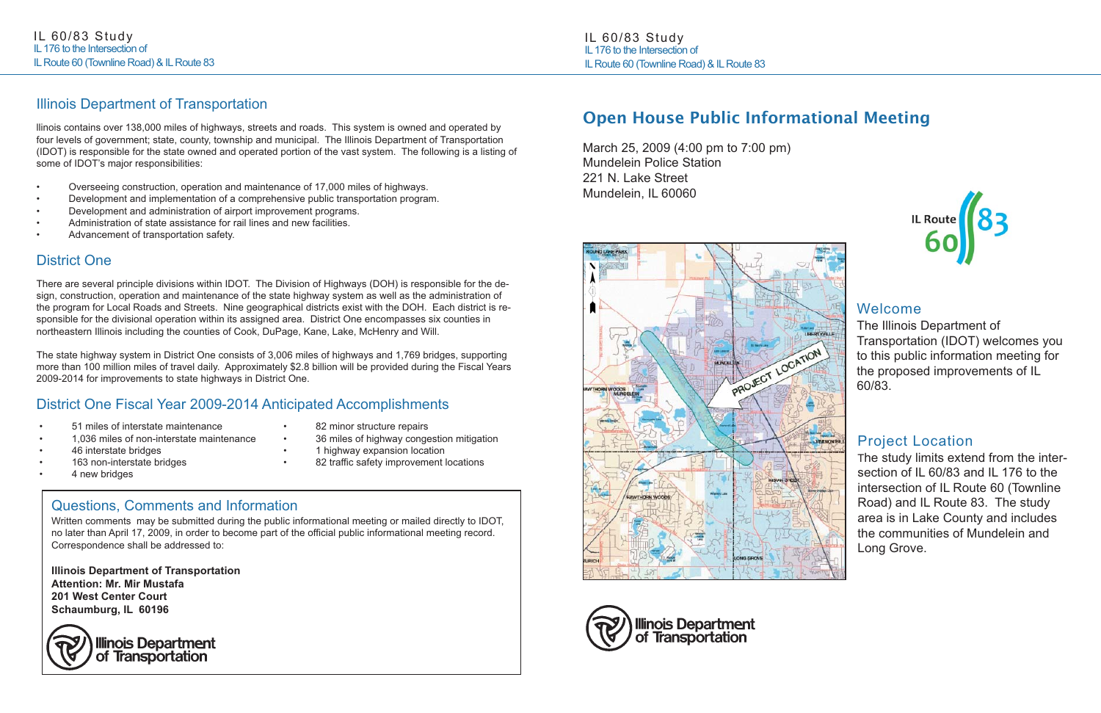## Open House Public Informational Meeting

March 25, 2009 (4:00 pm to 7:00 pm) Mundelein Police Station 221 N. Lake Street Mundelein, IL 60060







### Welcome

The Illinois Department of Transportation (IDOT) welcomes you to this public information meeting for the proposed improvements of IL 60/83.

### Project Location

The study limits extend from the intersection of IL 60/83 and IL 176 to the intersection of IL Route 60 (Townline Road) and IL Route 83. The study area is in Lake County and includes the communities of Mundelein and Long Grove.



IL 60/83 Study IL 176 to the Intersection of IL Route 60 (Townline Road) & IL Route 83

# Questions, Comments and Information

Written comments may be submitted during the public informational meeting or mailed directly to IDOT, no later than April 17, 2009, in order to become part of the official public informational meeting record. Correspondence shall be addressed to:

**Illinois Department of Transportation Attention: Mr. Mir Mustafa 201 West Center Court Schaumburg, IL 60196**



### Illinois Department of Transportation

llinois contains over 138,000 miles of highways, streets and roads. This system is owned and operated by four levels of government; state, county, township and municipal. The Illinois Department of Transportation (IDOT) is responsible for the state owned and operated portion of the vast system. The following is a listing of some of IDOT's major responsibilities:

- Overseeing construction, operation and maintenance of 17,000 miles of highways.
- •Development and implementation of a comprehensive public transportation program.
- Development and administration of airport improvement programs.
- •Administration of state assistance for rail lines and new facilities.
- •Advancement of transportation safety.

### District One

There are several principle divisions within IDOT. The Division of Highways (DOH) is responsible for the design, construction, operation and maintenance of the state highway system as well as the administration of the program for Local Roads and Streets. Nine geographical districts exist with the DOH. Each district is responsible for the divisional operation within its assigned area. District One encompasses six counties in northeastern Illinois including the counties of Cook, DuPage, Kane, Lake, McHenry and Will.

The state highway system in District One consists of 3,006 miles of highways and 1,769 bridges, supporting more than 100 million miles of travel daily. Approximately \$2.8 billion will be provided during the Fiscal Years 2009-2014 for improvements to state highways in District One.

### District One Fiscal Year 2009-2014 Anticipated Accomplishments

- •51 miles of interstate maintenance
- •1,036 miles of non-interstate maintenance
- •46 interstate bridges
- •163 non-interstate bridges
- •4 new bridges

•

•

- 82 minor structure repairs
- 36 miles of highway congestion mitigation
- 1 highway expansion location
- 82 traffic safety improvement locations

•